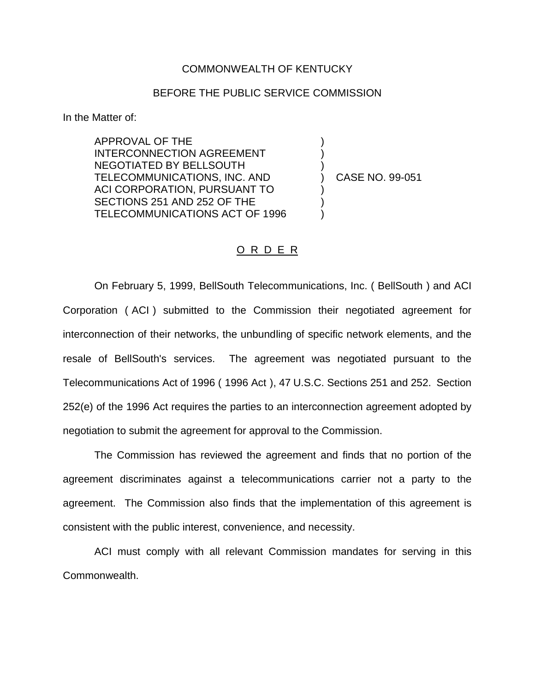## COMMONWEALTH OF KENTUCKY

## BEFORE THE PUBLIC SERVICE COMMISSION

In the Matter of:

APPROVAL OF THE INTERCONNECTION AGREEMENT NEGOTIATED BY BELLSOUTH TELECOMMUNICATIONS, INC. AND ACI CORPORATION, PURSUANT TO SECTIONS 251 AND 252 OF THE TELECOMMUNICATIONS ACT OF 1996

) CASE NO. 99-051

) ) )

) ) )

## O R D E R

On February 5, 1999, BellSouth Telecommunications, Inc. ( BellSouth ) and ACI Corporation ( ACI ) submitted to the Commission their negotiated agreement for interconnection of their networks, the unbundling of specific network elements, and the resale of BellSouth's services. The agreement was negotiated pursuant to the Telecommunications Act of 1996 ( 1996 Act ), 47 U.S.C. Sections 251 and 252. Section 252(e) of the 1996 Act requires the parties to an interconnection agreement adopted by negotiation to submit the agreement for approval to the Commission.

The Commission has reviewed the agreement and finds that no portion of the agreement discriminates against a telecommunications carrier not a party to the agreement. The Commission also finds that the implementation of this agreement is consistent with the public interest, convenience, and necessity.

ACI must comply with all relevant Commission mandates for serving in this Commonwealth.